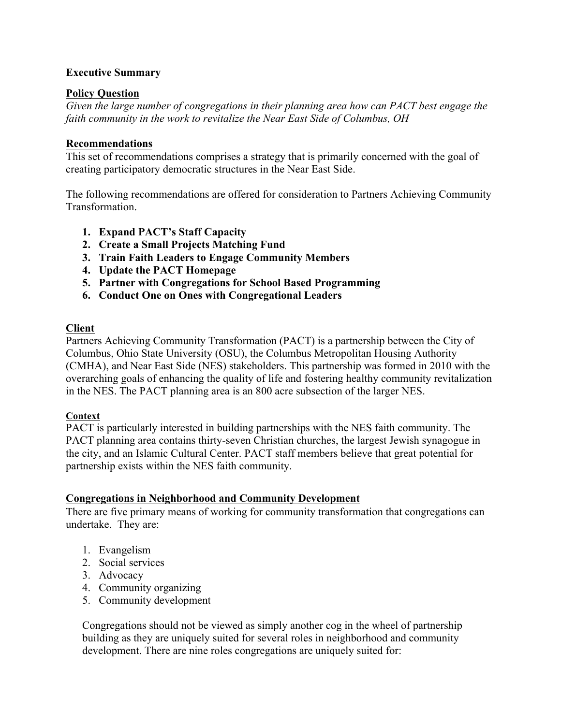## **Executive Summary**

### **Policy Question**

*Given the large number of congregations in their planning area how can PACT best engage the faith community in the work to revitalize the Near East Side of Columbus, OH*

### **Recommendations**

This set of recommendations comprises a strategy that is primarily concerned with the goal of creating participatory democratic structures in the Near East Side.

The following recommendations are offered for consideration to Partners Achieving Community Transformation.

- **1. Expand PACT's Staff Capacity**
- **2. Create a Small Projects Matching Fund**
- **3. Train Faith Leaders to Engage Community Members**
- **4. Update the PACT Homepage**
- **5. Partner with Congregations for School Based Programming**
- **6. Conduct One on Ones with Congregational Leaders**

### **Client**

Partners Achieving Community Transformation (PACT) is a partnership between the City of Columbus, Ohio State University (OSU), the Columbus Metropolitan Housing Authority (CMHA), and Near East Side (NES) stakeholders. This partnership was formed in 2010 with the overarching goals of enhancing the quality of life and fostering healthy community revitalization in the NES. The PACT planning area is an 800 acre subsection of the larger NES.

#### **Context**

PACT is particularly interested in building partnerships with the NES faith community. The PACT planning area contains thirty-seven Christian churches, the largest Jewish synagogue in the city, and an Islamic Cultural Center. PACT staff members believe that great potential for partnership exists within the NES faith community.

# **Congregations in Neighborhood and Community Development**

There are five primary means of working for community transformation that congregations can undertake. They are:

- 1. Evangelism
- 2. Social services
- 3. Advocacy
- 4. Community organizing
- 5. Community development

Congregations should not be viewed as simply another cog in the wheel of partnership building as they are uniquely suited for several roles in neighborhood and community development. There are nine roles congregations are uniquely suited for: